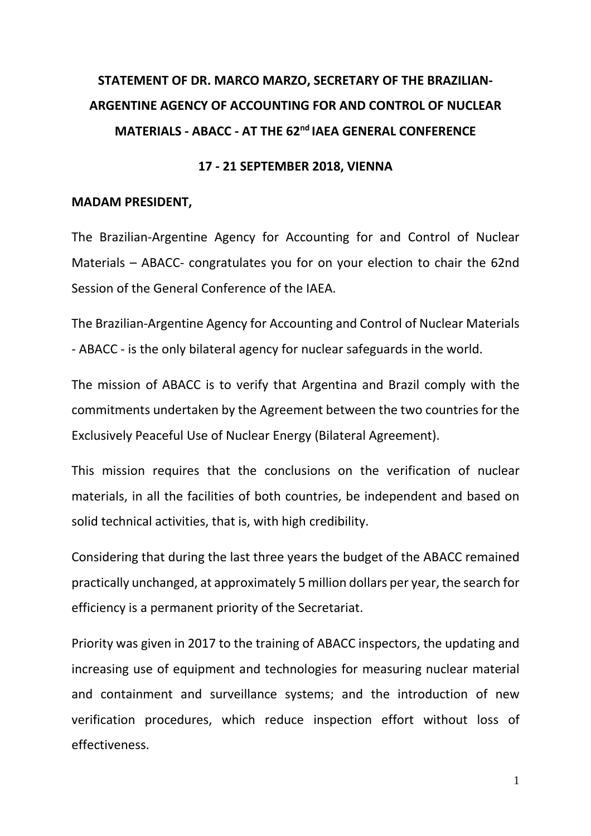# **STATEMENT OF DR. MARCO MARZO, SECRETARY OF THE BRAZILIAN-ARGENTINE AGENCY OF ACCOUNTING FOR AND CONTROL OF NUCLEAR MATERIALS - ABACC - AT THE 62nd IAEA GENERAL CONFERENCE**

### **17 - 21 SEPTEMBER 2018, VIENNA**

### **MADAM PRESIDENT,**

The Brazilian-Argentine Agency for Accounting for and Control of Nuclear Materials – ABACC- congratulates you for on your election to chair the 62nd Session of the General Conference of the IAEA.

The Brazilian-Argentine Agency for Accounting and Control of Nuclear Materials - ABACC - is the only bilateral agency for nuclear safeguards in the world.

The mission of ABACC is to verify that Argentina and Brazil comply with the commitments undertaken by the Agreement between the two countries for the Exclusively Peaceful Use of Nuclear Energy (Bilateral Agreement).

This mission requires that the conclusions on the verification of nuclear materials, in all the facilities of both countries, be independent and based on solid technical activities, that is, with high credibility.

Considering that during the last three years the budget of the ABACC remained practically unchanged, at approximately 5 million dollars per year, the search for efficiency is a permanent priority of the Secretariat.

Priority was given in 2017 to the training of ABACC inspectors, the updating and increasing use of equipment and technologies for measuring nuclear material and containment and surveillance systems; and the introduction of new verification procedures, which reduce inspection effort without loss of effectiveness.